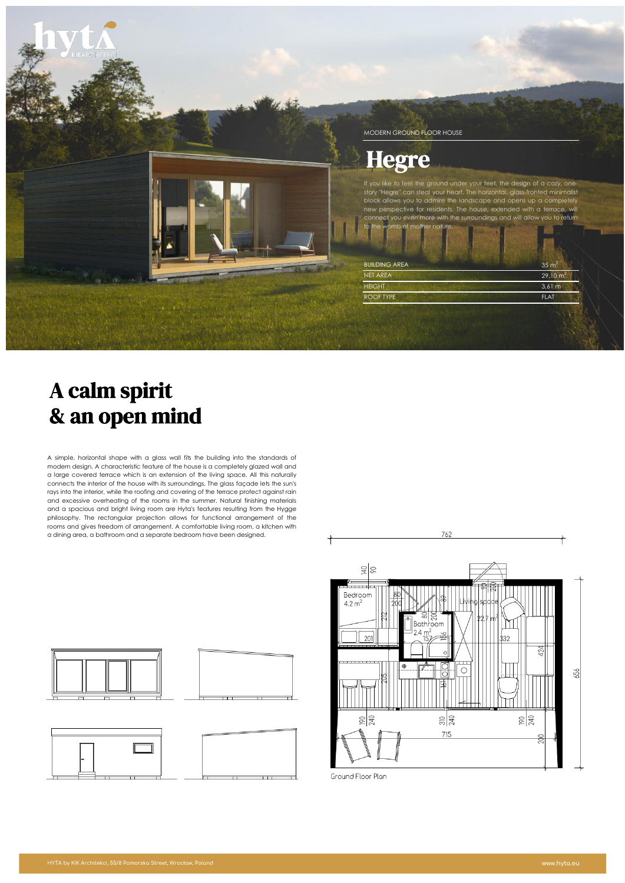

# A calm spirit & an open mind

A simple, horizontal shape with a glass wall fits the building into the standards of modern design. A characteristic feature of the house is a completely glazed wall and a large covered terrace which is an extension of the living space. All this naturally connects the interior of the house with its surroundings. The glass façade lets the sun's rays into the interior, while the roofing and covering of the terrace protect against rain and excessive overheating of the rooms in the summer. Natural finishing materials and a spacious and bright living room are Hyta's features resulting from the Hygge philosophy. The rectangular projection allows for functional arrangement of the rooms and gives freedom of arrangement. A comfortable living room, a kitchen with a dining area, a bathroom and a separate bedroom have been designed.



| e |  |  |
|---|--|--|
|   |  |  |



Ground Floor Plan